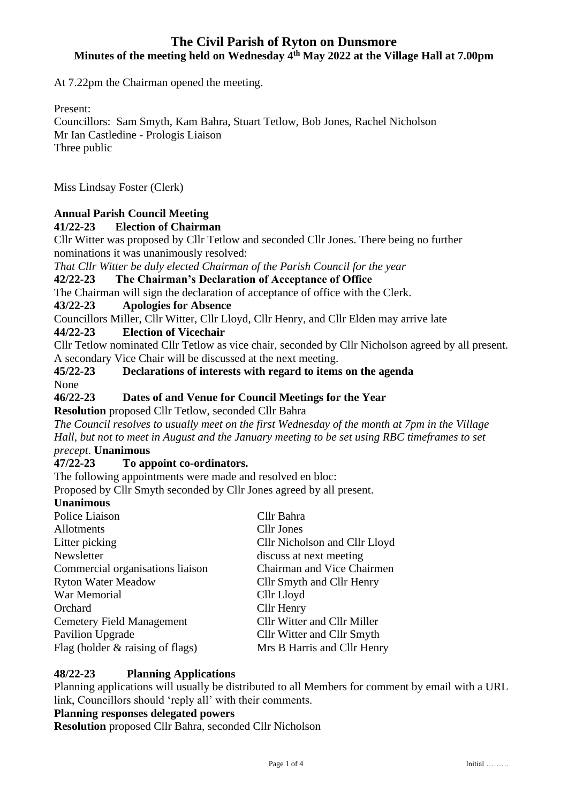### **The Civil Parish of Ryton on Dunsmore Minutes of the meeting held on Wednesday 4 th May 2022 at the Village Hall at 7.00pm**

At 7.22pm the Chairman opened the meeting.

Present:

Councillors: Sam Smyth, Kam Bahra, Stuart Tetlow, Bob Jones, Rachel Nicholson Mr Ian Castledine - Prologis Liaison Three public

Miss Lindsay Foster (Clerk)

#### **Annual Parish Council Meeting**

#### **41/22-23 Election of Chairman**

Cllr Witter was proposed by Cllr Tetlow and seconded Cllr Jones. There being no further nominations it was unanimously resolved:

*That Cllr Witter be duly elected Chairman of the Parish Council for the year*

**42/22-23 The Chairman's Declaration of Acceptance of Office**

The Chairman will sign the declaration of acceptance of office with the Clerk.

**43/22-23 Apologies for Absence**

Councillors Miller, Cllr Witter, Cllr Lloyd, Cllr Henry, and Cllr Elden may arrive late

**44/22-23 Election of Vicechair**

Cllr Tetlow nominated Cllr Tetlow as vice chair, seconded by Cllr Nicholson agreed by all present. A secondary Vice Chair will be discussed at the next meeting.

**45/22-23 Declarations of interests with regard to items on the agenda**

None

**46/22-23 Dates of and Venue for Council Meetings for the Year**

**Resolution** proposed Cllr Tetlow, seconded Cllr Bahra

*The Council resolves to usually meet on the first Wednesday of the month at 7pm in the Village Hall, but not to meet in August and the January meeting to be set using RBC timeframes to set precept*. **Unanimous**

#### **47/22-23 To appoint co-ordinators.**

The following appointments were made and resolved en bloc: Proposed by Cllr Smyth seconded by Cllr Jones agreed by all present.

#### **Unanimous**

| Cllr Bahra                         |
|------------------------------------|
| Cllr Jones                         |
| Cllr Nicholson and Cllr Lloyd      |
| discuss at next meeting            |
| Chairman and Vice Chairmen         |
| <b>Cllr Smyth and Cllr Henry</b>   |
| Cllr Lloyd                         |
| Cllr Henry                         |
| <b>Cllr Witter and Cllr Miller</b> |
| <b>Cllr Witter and Cllr Smyth</b>  |
| Mrs B Harris and Cllr Henry        |
|                                    |

#### **48/22-23 Planning Applications**

Planning applications will usually be distributed to all Members for comment by email with a URL link, Councillors should 'reply all' with their comments.

#### **Planning responses delegated powers**

**Resolution** proposed Cllr Bahra, seconded Cllr Nicholson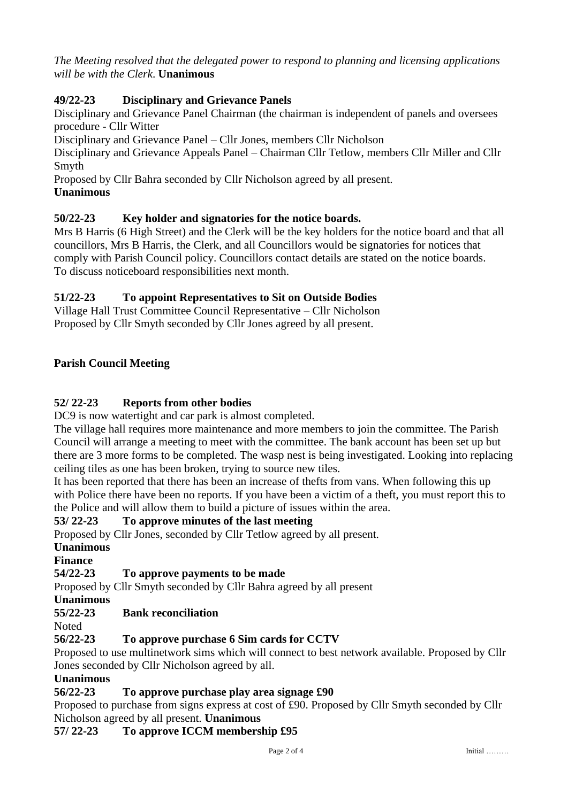*The Meeting resolved that the delegated power to respond to planning and licensing applications will be with the Clerk*. **Unanimous**

# **49/22-23 Disciplinary and Grievance Panels**

Disciplinary and Grievance Panel Chairman (the chairman is independent of panels and oversees procedure - Cllr Witter

Disciplinary and Grievance Panel – Cllr Jones, members Cllr Nicholson

Disciplinary and Grievance Appeals Panel – Chairman Cllr Tetlow, members Cllr Miller and Cllr Smyth

Proposed by Cllr Bahra seconded by Cllr Nicholson agreed by all present.

#### **Unanimous**

# **50/22-23 Key holder and signatories for the notice boards.**

Mrs B Harris (6 High Street) and the Clerk will be the key holders for the notice board and that all councillors, Mrs B Harris, the Clerk, and all Councillors would be signatories for notices that comply with Parish Council policy. Councillors contact details are stated on the notice boards. To discuss noticeboard responsibilities next month.

# **51/22-23 To appoint Representatives to Sit on Outside Bodies**

Village Hall Trust Committee Council Representative – Cllr Nicholson Proposed by Cllr Smyth seconded by Cllr Jones agreed by all present.

# **Parish Council Meeting**

# **52/ 22-23 Reports from other bodies**

DC9 is now watertight and car park is almost completed.

The village hall requires more maintenance and more members to join the committee. The Parish Council will arrange a meeting to meet with the committee. The bank account has been set up but there are 3 more forms to be completed. The wasp nest is being investigated. Looking into replacing ceiling tiles as one has been broken, trying to source new tiles.

It has been reported that there has been an increase of thefts from vans. When following this up with Police there have been no reports. If you have been a victim of a theft, you must report this to the Police and will allow them to build a picture of issues within the area.

#### **53/ 22-23 To approve minutes of the last meeting**

Proposed by Cllr Jones, seconded by Cllr Tetlow agreed by all present.

**Unanimous**

# **Finance**

# **54/22-23 To approve payments to be made**

Proposed by Cllr Smyth seconded by Cllr Bahra agreed by all present **Unanimous**

# **55/22-23 Bank reconciliation**

**Noted** 

# **56/22-23 To approve purchase 6 Sim cards for CCTV**

Proposed to use multinetwork sims which will connect to best network available. Proposed by Cllr Jones seconded by Cllr Nicholson agreed by all.

# **Unanimous**

# **56/22-23 To approve purchase play area signage £90**

Proposed to purchase from signs express at cost of £90. Proposed by Cllr Smyth seconded by Cllr Nicholson agreed by all present. **Unanimous**

#### **57/ 22-23 To approve ICCM membership £95**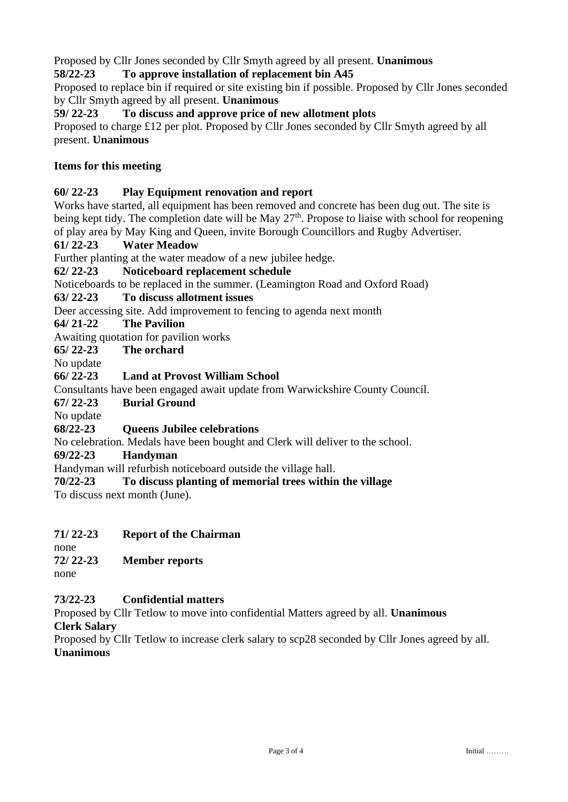Proposed by Cllr Jones seconded by Cllr Smyth agreed by all present. **Unanimous**

# **58/22-23 To approve installation of replacement bin A45**

Proposed to replace bin if required or site existing bin if possible. Proposed by Cllr Jones seconded by Cllr Smyth agreed by all present. **Unanimous**

#### **59/ 22-23 To discuss and approve price of new allotment plots**

Proposed to charge £12 per plot. Proposed by Cllr Jones seconded by Cllr Smyth agreed by all present. **Unanimous**

## **Items for this meeting**

#### **60/ 22-23 Play Equipment renovation and report**

Works have started, all equipment has been removed and concrete has been dug out. The site is being kept tidy. The completion date will be May 27<sup>th</sup>. Propose to liaise with school for reopening of play area by May King and Queen, invite Borough Councillors and Rugby Advertiser.

#### **61/ 22-23 Water Meadow**

Further planting at the water meadow of a new jubilee hedge.

**62/ 22-23 Noticeboard replacement schedule**

Noticeboards to be replaced in the summer. (Leamington Road and Oxford Road)

#### **63/ 22-23 To discuss allotment issues**

Deer accessing site. Add improvement to fencing to agenda next month

#### **64/ 21-22 The Pavilion**

Awaiting quotation for pavilion works

**65/ 22-23 The orchard**

No update

#### **66/ 22-23 Land at Provost William School**

Consultants have been engaged await update from Warwickshire County Council.

**67/ 22-23 Burial Ground**

No update

#### **68/22-23 Queens Jubilee celebrations**

No celebration. Medals have been bought and Clerk will deliver to the school.

#### **69/22-23 Handyman**

Handyman will refurbish noticeboard outside the village hall.

#### **70/22-23 To discuss planting of memorial trees within the village**

To discuss next month (June).

#### **71/ 22-23 Report of the Chairman**

| none     |                       |
|----------|-----------------------|
| 72/22-23 | <b>Member reports</b> |
| none     |                       |

# **73/22-23 Confidential matters**

Proposed by Cllr Tetlow to move into confidential Matters agreed by all. **Unanimous Clerk Salary**

Proposed by Cllr Tetlow to increase clerk salary to scp28 seconded by Cllr Jones agreed by all. **Unanimous**